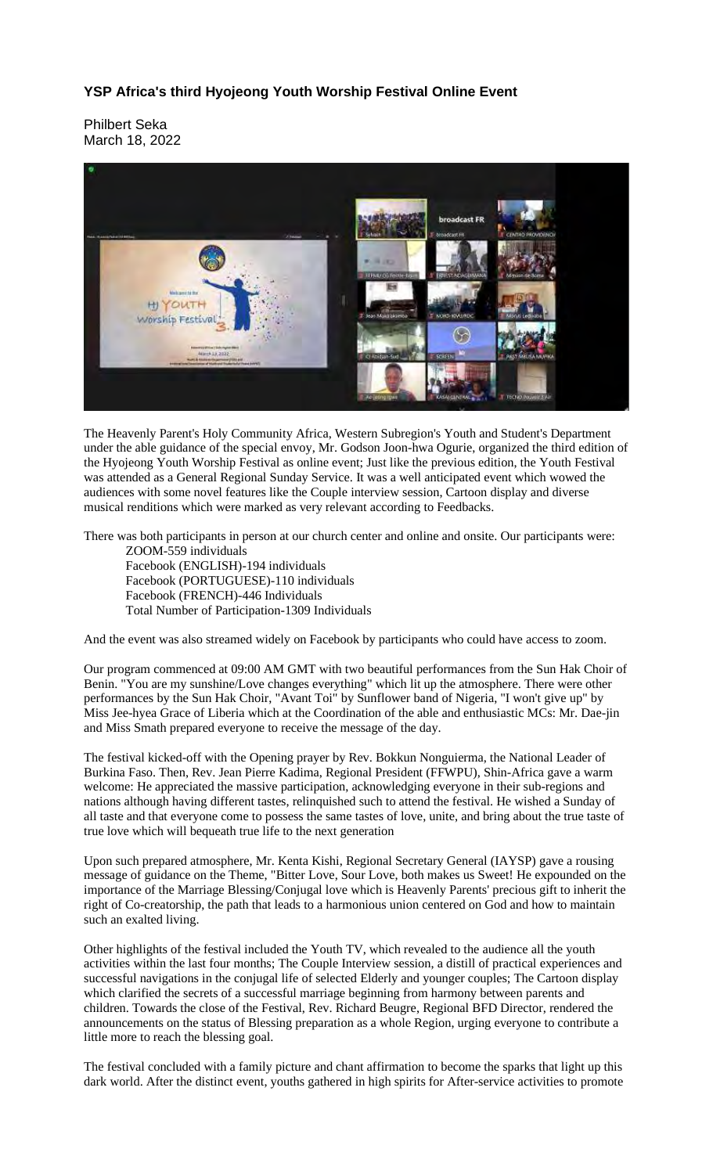## **YSP Africa's third Hyojeong Youth Worship Festival Online Event**

Philbert Seka March 18, 2022



The Heavenly Parent's Holy Community Africa, Western Subregion's Youth and Student's Department under the able guidance of the special envoy, Mr. Godson Joon-hwa Ogurie, organized the third edition of the Hyojeong Youth Worship Festival as online event; Just like the previous edition, the Youth Festival was attended as a General Regional Sunday Service. It was a well anticipated event which wowed the audiences with some novel features like the Couple interview session, Cartoon display and diverse musical renditions which were marked as very relevant according to Feedbacks.

There was both participants in person at our church center and online and onsite. Our participants were:

ZOOM-559 individuals Facebook (ENGLISH)-194 individuals Facebook (PORTUGUESE)-110 individuals Facebook (FRENCH)-446 Individuals Total Number of Participation-1309 Individuals

And the event was also streamed widely on Facebook by participants who could have access to zoom.

Our program commenced at 09:00 AM GMT with two beautiful performances from the Sun Hak Choir of Benin. "You are my sunshine/Love changes everything" which lit up the atmosphere. There were other performances by the Sun Hak Choir, "Avant Toi" by Sunflower band of Nigeria, "I won't give up" by Miss Jee-hyea Grace of Liberia which at the Coordination of the able and enthusiastic MCs: Mr. Dae-jin and Miss Smath prepared everyone to receive the message of the day.

The festival kicked-off with the Opening prayer by Rev. Bokkun Nonguierma, the National Leader of Burkina Faso. Then, Rev. Jean Pierre Kadima, Regional President (FFWPU), Shin-Africa gave a warm welcome: He appreciated the massive participation, acknowledging everyone in their sub-regions and nations although having different tastes, relinquished such to attend the festival. He wished a Sunday of all taste and that everyone come to possess the same tastes of love, unite, and bring about the true taste of true love which will bequeath true life to the next generation

Upon such prepared atmosphere, Mr. Kenta Kishi, Regional Secretary General (IAYSP) gave a rousing message of guidance on the Theme, "Bitter Love, Sour Love, both makes us Sweet! He expounded on the importance of the Marriage Blessing/Conjugal love which is Heavenly Parents' precious gift to inherit the right of Co-creatorship, the path that leads to a harmonious union centered on God and how to maintain such an exalted living.

Other highlights of the festival included the Youth TV, which revealed to the audience all the youth activities within the last four months; The Couple Interview session, a distill of practical experiences and successful navigations in the conjugal life of selected Elderly and younger couples; The Cartoon display which clarified the secrets of a successful marriage beginning from harmony between parents and children. Towards the close of the Festival, Rev. Richard Beugre, Regional BFD Director, rendered the announcements on the status of Blessing preparation as a whole Region, urging everyone to contribute a little more to reach the blessing goal.

The festival concluded with a family picture and chant affirmation to become the sparks that light up this dark world. After the distinct event, youths gathered in high spirits for After-service activities to promote